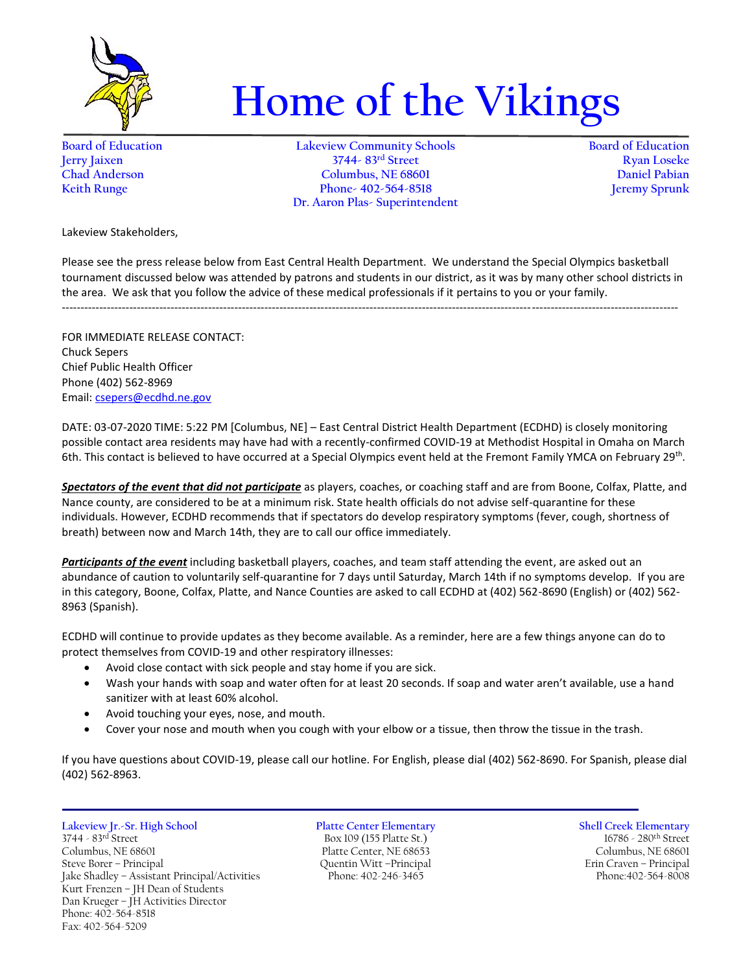

## **Home of the Vikings**

**Board of Education Lakeview Community Schools Board of Education Jerry Jaixen 3744- 83rd Street Ryan Loseke Chad Anderson Columbus, NE 68601 Daniel Pabian Keith Runge Phone- 402-564-8518 Dr. Aaron Plas- Superintendent**

Lakeview Stakeholders,

Please see the press release below from East Central Health Department. We understand the Special Olympics basketball tournament discussed below was attended by patrons and students in our district, as it was by many other school districts in the area. We ask that you follow the advice of these medical professionals if it pertains to you or your family.

--------------------------------------------------------------------------------------------------------------------------------------------------------------------

FOR IMMEDIATE RELEASE CONTACT: Chuck Sepers Chief Public Health Officer Phone (402) 562-8969 Email[: csepers@ecdhd.ne.gov](mailto:csepers@ecdhd.ne.gov)

DATE: 03-07-2020 TIME: 5:22 PM [Columbus, NE] – East Central District Health Department (ECDHD) is closely monitoring possible contact area residents may have had with a recently-confirmed COVID-19 at Methodist Hospital in Omaha on March 6th. This contact is believed to have occurred at a Special Olympics event held at the Fremont Family YMCA on February 29<sup>th</sup>.

*Spectators of the event that did not participate* as players, coaches, or coaching staff and are from Boone, Colfax, Platte, and Nance county, are considered to be at a minimum risk. State health officials do not advise self-quarantine for these individuals. However, ECDHD recommends that if spectators do develop respiratory symptoms (fever, cough, shortness of breath) between now and March 14th, they are to call our office immediately.

*Participants of the event* including basketball players, coaches, and team staff attending the event, are asked out an abundance of caution to voluntarily self-quarantine for 7 days until Saturday, March 14th if no symptoms develop. If you are in this category, Boone, Colfax, Platte, and Nance Counties are asked to call ECDHD at (402) 562-8690 (English) or (402) 562- 8963 (Spanish).

ECDHD will continue to provide updates as they become available. As a reminder, here are a few things anyone can do to protect themselves from COVID-19 and other respiratory illnesses:

- Avoid close contact with sick people and stay home if you are sick.
- Wash your hands with soap and water often for at least 20 seconds. If soap and water aren't available, use a hand sanitizer with at least 60% alcohol.
- Avoid touching your eyes, nose, and mouth.
- Cover your nose and mouth when you cough with your elbow or a tissue, then throw the tissue in the trash.

If you have questions about COVID-19, please call our hotline. For English, please dial (402) 562-8690. For Spanish, please dial (402) 562-8963.

**Lakeview Jr.-Sr. High School Platte Center Elementary Shell Creek Elementary** 3744 - 83rd Street Box 109 (155 Platte St.) 16786 - 280th Street Columbus, NE 68601 Platte Center, NE 68653 Columbus, NE 68601 Steve Borer – Principal Quentin Witt – Principal Cuentin Witt – Principal Erin Craven – Principal Jake Shadley – Assistant Principal/Activities Phone: 402-246-3465 Phone: 402-2564-8008 Jake Shadley - Assistant Principal/Activities Kurt Frenzen – JH Dean of Students Dan Krueger – JH Activities Director Phone: 402-564-8518 Fax: 402-564-5209